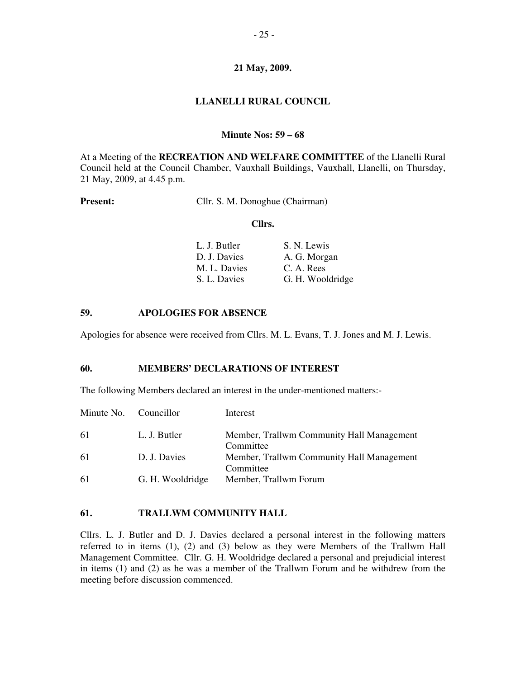#### **LLANELLI RURAL COUNCIL**

#### **Minute Nos: 59 – 68**

At a Meeting of the **RECREATION AND WELFARE COMMITTEE** of the Llanelli Rural Council held at the Council Chamber, Vauxhall Buildings, Vauxhall, Llanelli, on Thursday, 21 May, 2009, at 4.45 p.m.

**Present:** Cllr. S. M. Donoghue (Chairman)

#### **Cllrs.**

| L. J. Butler | S. N. Lewis      |
|--------------|------------------|
| D. J. Davies | A. G. Morgan     |
| M. L. Davies | C. A. Rees       |
| S. L. Davies | G. H. Wooldridge |

#### **59. APOLOGIES FOR ABSENCE**

Apologies for absence were received from Cllrs. M. L. Evans, T. J. Jones and M. J. Lewis.

#### **60. MEMBERS' DECLARATIONS OF INTEREST**

The following Members declared an interest in the under-mentioned matters:-

| Minute No. Councillor |                  | Interest                                               |
|-----------------------|------------------|--------------------------------------------------------|
| 61                    | L. J. Butler     | Member, Trallwm Community Hall Management<br>Committee |
| 61                    | D. J. Davies     | Member, Trallwm Community Hall Management<br>Committee |
| 61                    | G. H. Wooldridge | Member, Trallwm Forum                                  |

#### **61. TRALLWM COMMUNITY HALL**

Cllrs. L. J. Butler and D. J. Davies declared a personal interest in the following matters referred to in items (1), (2) and (3) below as they were Members of the Trallwm Hall Management Committee. Cllr. G. H. Wooldridge declared a personal and prejudicial interest in items (1) and (2) as he was a member of the Trallwm Forum and he withdrew from the meeting before discussion commenced.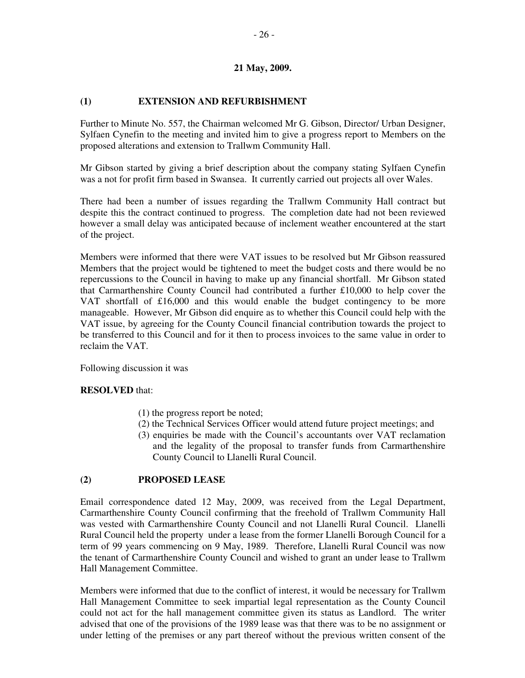## **(1) EXTENSION AND REFURBISHMENT**

Further to Minute No. 557, the Chairman welcomed Mr G. Gibson, Director/ Urban Designer, Sylfaen Cynefin to the meeting and invited him to give a progress report to Members on the proposed alterations and extension to Trallwm Community Hall.

Mr Gibson started by giving a brief description about the company stating Sylfaen Cynefin was a not for profit firm based in Swansea. It currently carried out projects all over Wales.

There had been a number of issues regarding the Trallwm Community Hall contract but despite this the contract continued to progress. The completion date had not been reviewed however a small delay was anticipated because of inclement weather encountered at the start of the project.

Members were informed that there were VAT issues to be resolved but Mr Gibson reassured Members that the project would be tightened to meet the budget costs and there would be no repercussions to the Council in having to make up any financial shortfall. Mr Gibson stated that Carmarthenshire County Council had contributed a further £10,000 to help cover the VAT shortfall of £16,000 and this would enable the budget contingency to be more manageable. However, Mr Gibson did enquire as to whether this Council could help with the VAT issue, by agreeing for the County Council financial contribution towards the project to be transferred to this Council and for it then to process invoices to the same value in order to reclaim the VAT.

Following discussion it was

## **RESOLVED** that:

- (1) the progress report be noted;
- (2) the Technical Services Officer would attend future project meetings; and
- (3) enquiries be made with the Council's accountants over VAT reclamation and the legality of the proposal to transfer funds from Carmarthenshire County Council to Llanelli Rural Council.

## **(2) PROPOSED LEASE**

Email correspondence dated 12 May, 2009, was received from the Legal Department, Carmarthenshire County Council confirming that the freehold of Trallwm Community Hall was vested with Carmarthenshire County Council and not Llanelli Rural Council. Llanelli Rural Council held the property under a lease from the former Llanelli Borough Council for a term of 99 years commencing on 9 May, 1989. Therefore, Llanelli Rural Council was now the tenant of Carmarthenshire County Council and wished to grant an under lease to Trallwm Hall Management Committee.

Members were informed that due to the conflict of interest, it would be necessary for Trallwm Hall Management Committee to seek impartial legal representation as the County Council could not act for the hall management committee given its status as Landlord. The writer advised that one of the provisions of the 1989 lease was that there was to be no assignment or under letting of the premises or any part thereof without the previous written consent of the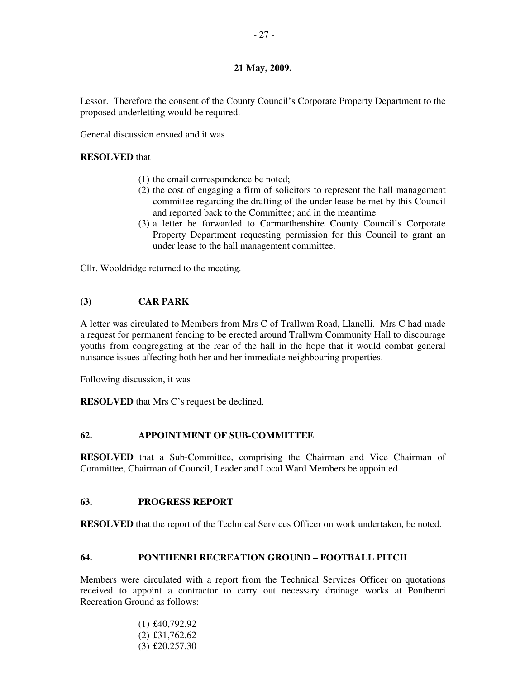Lessor. Therefore the consent of the County Council's Corporate Property Department to the proposed underletting would be required.

General discussion ensued and it was

#### **RESOLVED** that

- (1) the email correspondence be noted;
- (2) the cost of engaging a firm of solicitors to represent the hall management committee regarding the drafting of the under lease be met by this Council and reported back to the Committee; and in the meantime
- (3) a letter be forwarded to Carmarthenshire County Council's Corporate Property Department requesting permission for this Council to grant an under lease to the hall management committee.

Cllr. Wooldridge returned to the meeting.

## **(3) CAR PARK**

A letter was circulated to Members from Mrs C of Trallwm Road, Llanelli. Mrs C had made a request for permanent fencing to be erected around Trallwm Community Hall to discourage youths from congregating at the rear of the hall in the hope that it would combat general nuisance issues affecting both her and her immediate neighbouring properties.

Following discussion, it was

**RESOLVED** that Mrs C's request be declined.

## **62. APPOINTMENT OF SUB-COMMITTEE**

**RESOLVED** that a Sub-Committee, comprising the Chairman and Vice Chairman of Committee, Chairman of Council, Leader and Local Ward Members be appointed.

## **63. PROGRESS REPORT**

**RESOLVED** that the report of the Technical Services Officer on work undertaken, be noted.

## **64. PONTHENRI RECREATION GROUND – FOOTBALL PITCH**

Members were circulated with a report from the Technical Services Officer on quotations received to appoint a contractor to carry out necessary drainage works at Ponthenri Recreation Ground as follows:

> (1) £40,792.92 (2) £31,762.62 (3) £20,257.30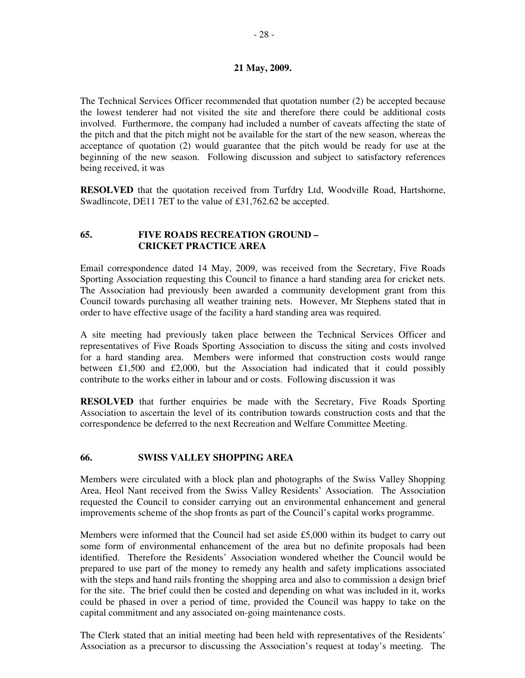The Technical Services Officer recommended that quotation number (2) be accepted because the lowest tenderer had not visited the site and therefore there could be additional costs involved. Furthermore, the company had included a number of caveats affecting the state of the pitch and that the pitch might not be available for the start of the new season, whereas the acceptance of quotation (2) would guarantee that the pitch would be ready for use at the beginning of the new season. Following discussion and subject to satisfactory references being received, it was

**RESOLVED** that the quotation received from Turfdry Ltd, Woodville Road, Hartshorne, Swadlincote, DE11 7ET to the value of £31,762.62 be accepted.

## **65. FIVE ROADS RECREATION GROUND – CRICKET PRACTICE AREA**

Email correspondence dated 14 May, 2009, was received from the Secretary, Five Roads Sporting Association requesting this Council to finance a hard standing area for cricket nets. The Association had previously been awarded a community development grant from this Council towards purchasing all weather training nets. However, Mr Stephens stated that in order to have effective usage of the facility a hard standing area was required.

A site meeting had previously taken place between the Technical Services Officer and representatives of Five Roads Sporting Association to discuss the siting and costs involved for a hard standing area. Members were informed that construction costs would range between £1,500 and £2,000, but the Association had indicated that it could possibly contribute to the works either in labour and or costs. Following discussion it was

**RESOLVED** that further enquiries be made with the Secretary, Five Roads Sporting Association to ascertain the level of its contribution towards construction costs and that the correspondence be deferred to the next Recreation and Welfare Committee Meeting.

# **66. SWISS VALLEY SHOPPING AREA**

Members were circulated with a block plan and photographs of the Swiss Valley Shopping Area, Heol Nant received from the Swiss Valley Residents' Association. The Association requested the Council to consider carrying out an environmental enhancement and general improvements scheme of the shop fronts as part of the Council's capital works programme.

Members were informed that the Council had set aside £5,000 within its budget to carry out some form of environmental enhancement of the area but no definite proposals had been identified. Therefore the Residents' Association wondered whether the Council would be prepared to use part of the money to remedy any health and safety implications associated with the steps and hand rails fronting the shopping area and also to commission a design brief for the site. The brief could then be costed and depending on what was included in it, works could be phased in over a period of time, provided the Council was happy to take on the capital commitment and any associated on-going maintenance costs.

The Clerk stated that an initial meeting had been held with representatives of the Residents' Association as a precursor to discussing the Association's request at today's meeting. The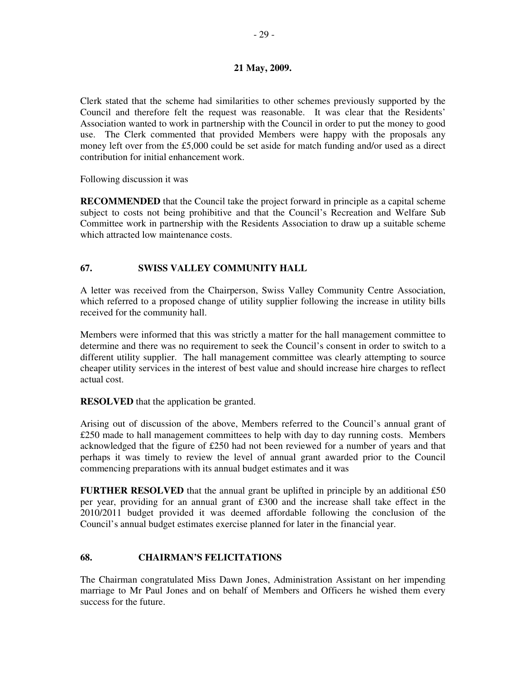Clerk stated that the scheme had similarities to other schemes previously supported by the Council and therefore felt the request was reasonable. It was clear that the Residents' Association wanted to work in partnership with the Council in order to put the money to good use. The Clerk commented that provided Members were happy with the proposals any money left over from the £5,000 could be set aside for match funding and/or used as a direct contribution for initial enhancement work.

Following discussion it was

**RECOMMENDED** that the Council take the project forward in principle as a capital scheme subject to costs not being prohibitive and that the Council's Recreation and Welfare Sub Committee work in partnership with the Residents Association to draw up a suitable scheme which attracted low maintenance costs.

# **67. SWISS VALLEY COMMUNITY HALL**

A letter was received from the Chairperson, Swiss Valley Community Centre Association, which referred to a proposed change of utility supplier following the increase in utility bills received for the community hall.

Members were informed that this was strictly a matter for the hall management committee to determine and there was no requirement to seek the Council's consent in order to switch to a different utility supplier. The hall management committee was clearly attempting to source cheaper utility services in the interest of best value and should increase hire charges to reflect actual cost.

**RESOLVED** that the application be granted.

Arising out of discussion of the above, Members referred to the Council's annual grant of £250 made to hall management committees to help with day to day running costs. Members acknowledged that the figure of £250 had not been reviewed for a number of years and that perhaps it was timely to review the level of annual grant awarded prior to the Council commencing preparations with its annual budget estimates and it was

**FURTHER RESOLVED** that the annual grant be uplifted in principle by an additional  $£50$ per year, providing for an annual grant of £300 and the increase shall take effect in the 2010/2011 budget provided it was deemed affordable following the conclusion of the Council's annual budget estimates exercise planned for later in the financial year.

# **68. CHAIRMAN'S FELICITATIONS**

The Chairman congratulated Miss Dawn Jones, Administration Assistant on her impending marriage to Mr Paul Jones and on behalf of Members and Officers he wished them every success for the future.